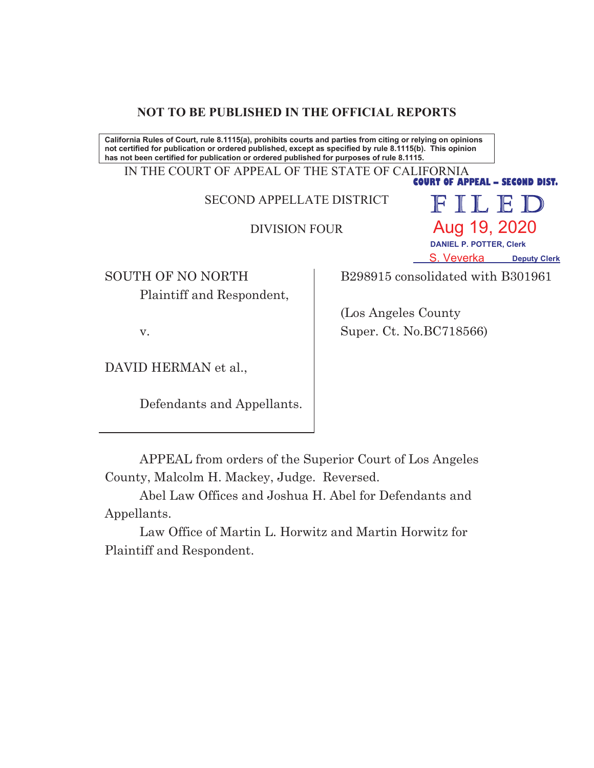## **NOT TO BE PUBLISHED IN THE OFFICIAL REPORTS**

California Rules of Court, rule 8.1115(a), prohibits courts and parties from citing or relying on opinions not certified for publication or ordered published, except as specified by rule 8.1115(b). This opinion has not been certified for publication or ordered published for purposes of rule 8.1115.

IN THE COURT OF APPEAL OF THE STATE OF CALIFORNIA **COURT OF APPEAL - SECOND DIST.** 

SECOND APPELLATE DISTRICT

DIVISION FOUR

SOUTH OF NO NORTH Plaintiff and Respondent,

B298915 consolidated with B301961

 **DANIEL P. POTTER, Clerk**

Aug 19, 2020

FILED

**S. Veverka** Deputy Clerk

 (Los Angeles County Super. Ct. No.BC718566)

v.

DAVID HERMAN et al.,

Defendants and Appellants.

APPEAL from orders of the Superior Court of Los Angeles County, Malcolm H. Mackey, Judge. Reversed.

Abel Law Offices and Joshua H. Abel for Defendants and Appellants.

Law Office of Martin L. Horwitz and Martin Horwitz for Plaintiff and Respondent.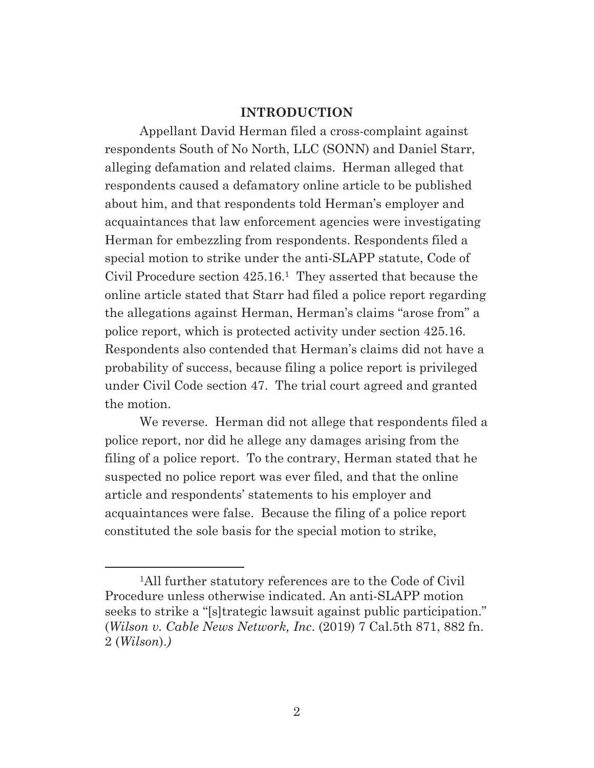### **INTRODUCTION**

Appellant David Herman filed a cross-complaint against respondents South of No North, LLC (SONN) and Daniel Starr, alleging defamation and related claims. Herman alleged that respondents caused a defamatory online article to be published about him, and that respondents told Herman's employer and acquaintances that law enforcement agencies were investigating Herman for embezzling from respondents. Respondents filed a special motion to strike under the anti-SLAPP statute, Code of Civil Procedure section 425.16.1 They asserted that because the online article stated that Starr had filed a police report regarding the allegations against Herman, Herman's claims "arose from" a police report, which is protected activity under section 425.16. Respondents also contended that Herman's claims did not have a probability of success, because filing a police report is privileged under Civil Code section 47. The trial court agreed and granted the motion.

We reverse. Herman did not allege that respondents filed a police report, nor did he allege any damages arising from the filing of a police report. To the contrary, Herman stated that he suspected no police report was ever filed, and that the online article and respondents' statements to his employer and acquaintances were false. Because the filing of a police report constituted the sole basis for the special motion to strike,

<sup>1</sup>All further statutory references are to the Code of Civil Procedure unless otherwise indicated. An anti-SLAPP motion seeks to strike a "[s]trategic lawsuit against public participation." (*Wilson v. Cable News Network, Inc*. (2019) 7 Cal.5th 871, 882 fn. 2 (*Wilson*).*)*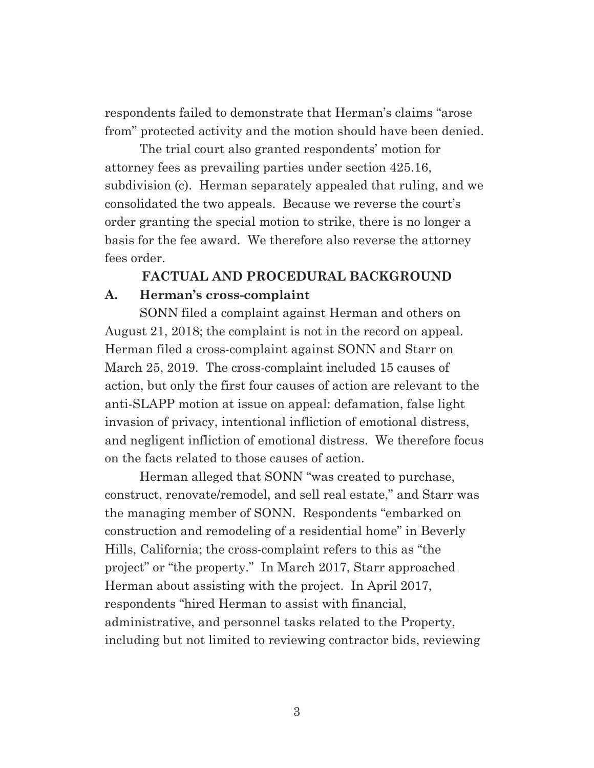respondents failed to demonstrate that Herman's claims "arose from" protected activity and the motion should have been denied.

The trial court also granted respondents' motion for attorney fees as prevailing parties under section 425.16, subdivision (c). Herman separately appealed that ruling, and we consolidated the two appeals. Because we reverse the court's order granting the special motion to strike, there is no longer a basis for the fee award. We therefore also reverse the attorney fees order.

# **FACTUAL AND PROCEDURAL BACKGROUND A. Herman's cross-complaint**

SONN filed a complaint against Herman and others on August 21, 2018; the complaint is not in the record on appeal. Herman filed a cross-complaint against SONN and Starr on March 25, 2019. The cross-complaint included 15 causes of action, but only the first four causes of action are relevant to the anti-SLAPP motion at issue on appeal: defamation, false light invasion of privacy, intentional infliction of emotional distress, and negligent infliction of emotional distress. We therefore focus on the facts related to those causes of action.

Herman alleged that SONN "was created to purchase, construct, renovate/remodel, and sell real estate," and Starr was the managing member of SONN. Respondents "embarked on construction and remodeling of a residential home" in Beverly Hills, California; the cross-complaint refers to this as "the project" or "the property." In March 2017, Starr approached Herman about assisting with the project. In April 2017, respondents "hired Herman to assist with financial, administrative, and personnel tasks related to the Property, including but not limited to reviewing contractor bids, reviewing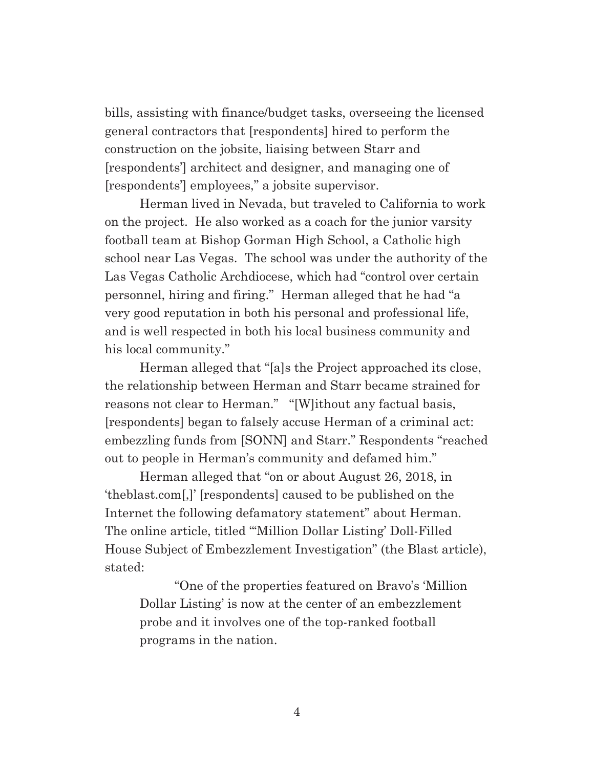bills, assisting with finance/budget tasks, overseeing the licensed general contractors that [respondents] hired to perform the construction on the jobsite, liaising between Starr and [respondents'] architect and designer, and managing one of [respondents'] employees," a jobsite supervisor.

Herman lived in Nevada, but traveled to California to work on the project. He also worked as a coach for the junior varsity football team at Bishop Gorman High School, a Catholic high school near Las Vegas. The school was under the authority of the Las Vegas Catholic Archdiocese, which had "control over certain personnel, hiring and firing." Herman alleged that he had "a very good reputation in both his personal and professional life, and is well respected in both his local business community and his local community."

Herman alleged that "[a]s the Project approached its close, the relationship between Herman and Starr became strained for reasons not clear to Herman." "[W]ithout any factual basis, [respondents] began to falsely accuse Herman of a criminal act: embezzling funds from [SONN] and Starr." Respondents "reached out to people in Herman's community and defamed him."

Herman alleged that "on or about August 26, 2018, in 'theblast.com[,]' [respondents] caused to be published on the Internet the following defamatory statement" about Herman. The online article, titled "'Million Dollar Listing' Doll-Filled House Subject of Embezzlement Investigation" (the Blast article), stated:

"One of the properties featured on Bravo's 'Million Dollar Listing' is now at the center of an embezzlement probe and it involves one of the top-ranked football programs in the nation.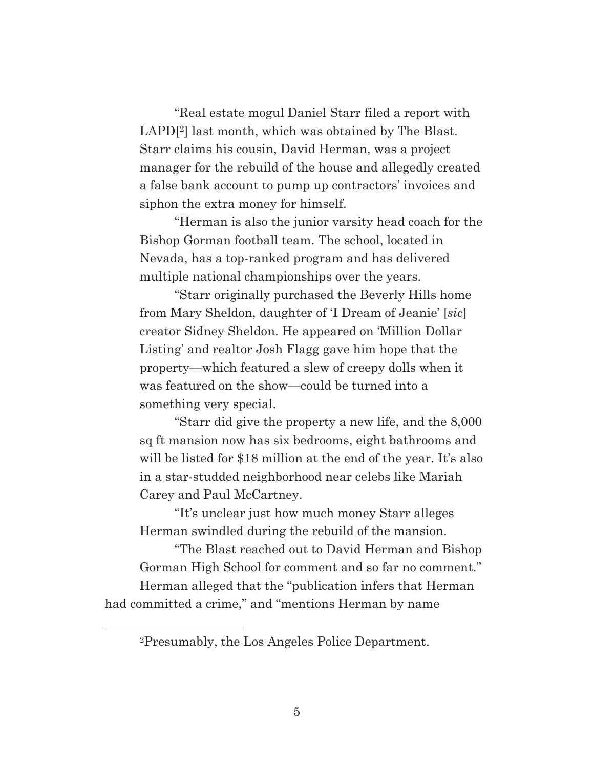"Real estate mogul Daniel Starr filed a report with LAPD[2] last month, which was obtained by The Blast. Starr claims his cousin, David Herman, was a project manager for the rebuild of the house and allegedly created a false bank account to pump up contractors' invoices and siphon the extra money for himself.

"Herman is also the junior varsity head coach for the Bishop Gorman football team. The school, located in Nevada, has a top-ranked program and has delivered multiple national championships over the years.

"Starr originally purchased the Beverly Hills home from Mary Sheldon, daughter of 'I Dream of Jeanie' [*sic*] creator Sidney Sheldon. He appeared on 'Million Dollar Listing' and realtor Josh Flagg gave him hope that the property—which featured a slew of creepy dolls when it was featured on the show—could be turned into a something very special.

"Starr did give the property a new life, and the 8,000 sq ft mansion now has six bedrooms, eight bathrooms and will be listed for \$18 million at the end of the year. It's also in a star-studded neighborhood near celebs like Mariah Carey and Paul McCartney.

"It's unclear just how much money Starr alleges Herman swindled during the rebuild of the mansion.

"The Blast reached out to David Herman and Bishop Gorman High School for comment and so far no comment."

Herman alleged that the "publication infers that Herman had committed a crime," and "mentions Herman by name

2Presumably, the Los Angeles Police Department.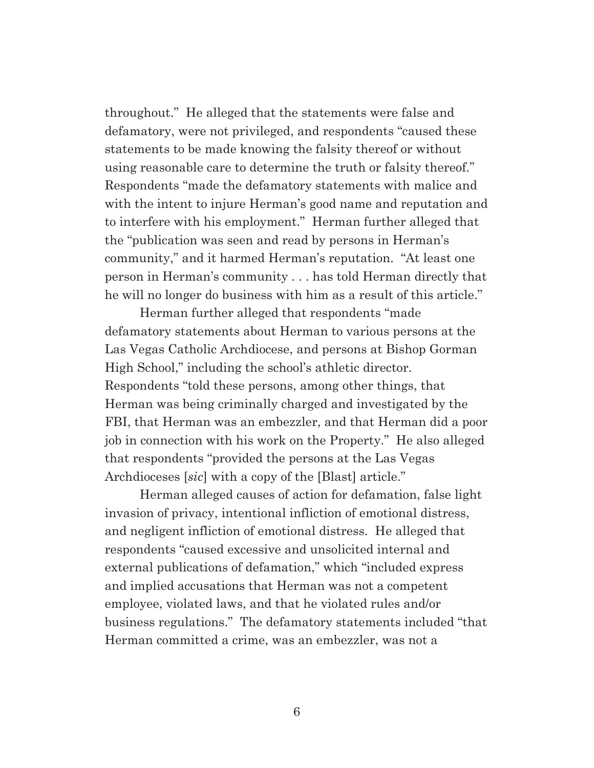throughout." He alleged that the statements were false and defamatory, were not privileged, and respondents "caused these statements to be made knowing the falsity thereof or without using reasonable care to determine the truth or falsity thereof." Respondents "made the defamatory statements with malice and with the intent to injure Herman's good name and reputation and to interfere with his employment." Herman further alleged that the "publication was seen and read by persons in Herman's community," and it harmed Herman's reputation. "At least one person in Herman's community . . . has told Herman directly that he will no longer do business with him as a result of this article."

Herman further alleged that respondents "made defamatory statements about Herman to various persons at the Las Vegas Catholic Archdiocese, and persons at Bishop Gorman High School," including the school's athletic director. Respondents "told these persons, among other things, that Herman was being criminally charged and investigated by the FBI, that Herman was an embezzler, and that Herman did a poor job in connection with his work on the Property." He also alleged that respondents "provided the persons at the Las Vegas Archdioceses [*sic*] with a copy of the [Blast] article."

Herman alleged causes of action for defamation, false light invasion of privacy, intentional infliction of emotional distress, and negligent infliction of emotional distress. He alleged that respondents "caused excessive and unsolicited internal and external publications of defamation," which "included express and implied accusations that Herman was not a competent employee, violated laws, and that he violated rules and/or business regulations." The defamatory statements included "that Herman committed a crime, was an embezzler, was not a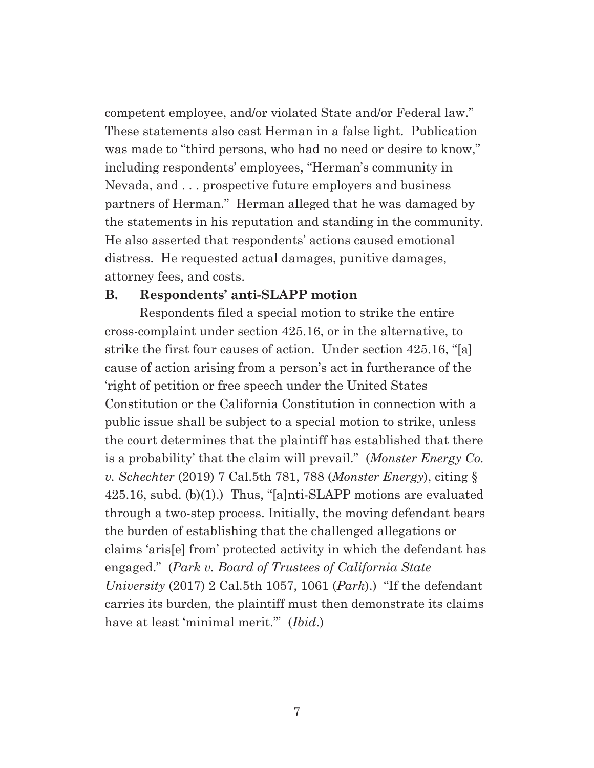competent employee, and/or violated State and/or Federal law." These statements also cast Herman in a false light. Publication was made to "third persons, who had no need or desire to know," including respondents' employees, "Herman's community in Nevada, and . . . prospective future employers and business partners of Herman." Herman alleged that he was damaged by the statements in his reputation and standing in the community. He also asserted that respondents' actions caused emotional distress. He requested actual damages, punitive damages, attorney fees, and costs.

### **B. Respondents' anti-SLAPP motion**

Respondents filed a special motion to strike the entire cross-complaint under section 425.16, or in the alternative, to strike the first four causes of action. Under section 425.16, "[a] cause of action arising from a person's act in furtherance of the 'right of petition or free speech under the United States Constitution or the California Constitution in connection with a public issue shall be subject to a special motion to strike, unless the court determines that the plaintiff has established that there is a probability' that the claim will prevail." (*Monster Energy Co. v. Schechter* (2019) 7 Cal.5th 781, 788 (*Monster Energy*), citing § 425.16, subd. (b)(1).) Thus, "[a]nti-SLAPP motions are evaluated through a two-step process. Initially, the moving defendant bears the burden of establishing that the challenged allegations or claims 'aris[e] from' protected activity in which the defendant has engaged." (*Park v. Board of Trustees of California State University* (2017) 2 Cal.5th 1057, 1061 (*Park*).) "If the defendant carries its burden, the plaintiff must then demonstrate its claims have at least 'minimal merit.'" (*Ibid*.)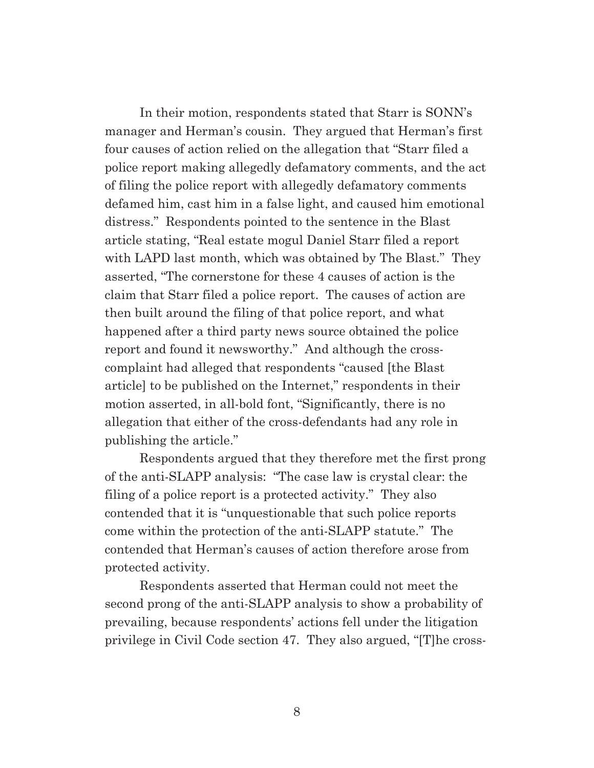In their motion, respondents stated that Starr is SONN's manager and Herman's cousin. They argued that Herman's first four causes of action relied on the allegation that "Starr filed a police report making allegedly defamatory comments, and the act of filing the police report with allegedly defamatory comments defamed him, cast him in a false light, and caused him emotional distress." Respondents pointed to the sentence in the Blast article stating, "Real estate mogul Daniel Starr filed a report with LAPD last month, which was obtained by The Blast." They asserted, "The cornerstone for these 4 causes of action is the claim that Starr filed a police report. The causes of action are then built around the filing of that police report, and what happened after a third party news source obtained the police report and found it newsworthy." And although the crosscomplaint had alleged that respondents "caused [the Blast article] to be published on the Internet," respondents in their motion asserted, in all-bold font, "Significantly, there is no allegation that either of the cross-defendants had any role in publishing the article."

Respondents argued that they therefore met the first prong of the anti-SLAPP analysis: "The case law is crystal clear: the filing of a police report is a protected activity." They also contended that it is "unquestionable that such police reports come within the protection of the anti-SLAPP statute." The contended that Herman's causes of action therefore arose from protected activity.

Respondents asserted that Herman could not meet the second prong of the anti-SLAPP analysis to show a probability of prevailing, because respondents' actions fell under the litigation privilege in Civil Code section 47. They also argued, "[T]he cross-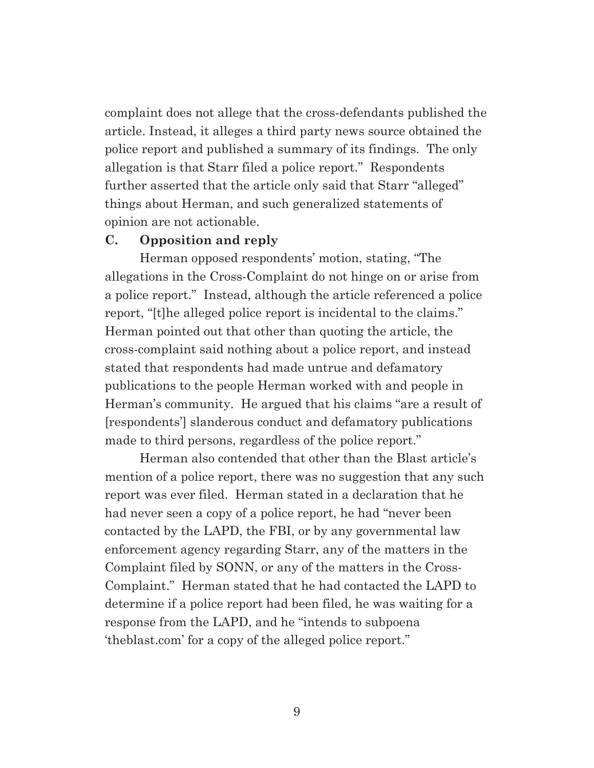complaint does not allege that the cross-defendants published the article. Instead, it alleges a third party news source obtained the police report and published a summary of its findings. The only allegation is that Starr filed a police report." Respondents further asserted that the article only said that Starr "alleged" things about Herman, and such generalized statements of opinion are not actionable.

### **C. Opposition and reply**

Herman opposed respondents' motion, stating, "The allegations in the Cross-Complaint do not hinge on or arise from a police report." Instead, although the article referenced a police report, "[t]he alleged police report is incidental to the claims." Herman pointed out that other than quoting the article, the cross-complaint said nothing about a police report, and instead stated that respondents had made untrue and defamatory publications to the people Herman worked with and people in Herman's community. He argued that his claims "are a result of [respondents'] slanderous conduct and defamatory publications made to third persons, regardless of the police report."

Herman also contended that other than the Blast article's mention of a police report, there was no suggestion that any such report was ever filed. Herman stated in a declaration that he had never seen a copy of a police report, he had "never been contacted by the LAPD, the FBI, or by any governmental law enforcement agency regarding Starr, any of the matters in the Complaint filed by SONN, or any of the matters in the Cross-Complaint." Herman stated that he had contacted the LAPD to determine if a police report had been filed, he was waiting for a response from the LAPD, and he "intends to subpoena 'theblast.com' for a copy of the alleged police report."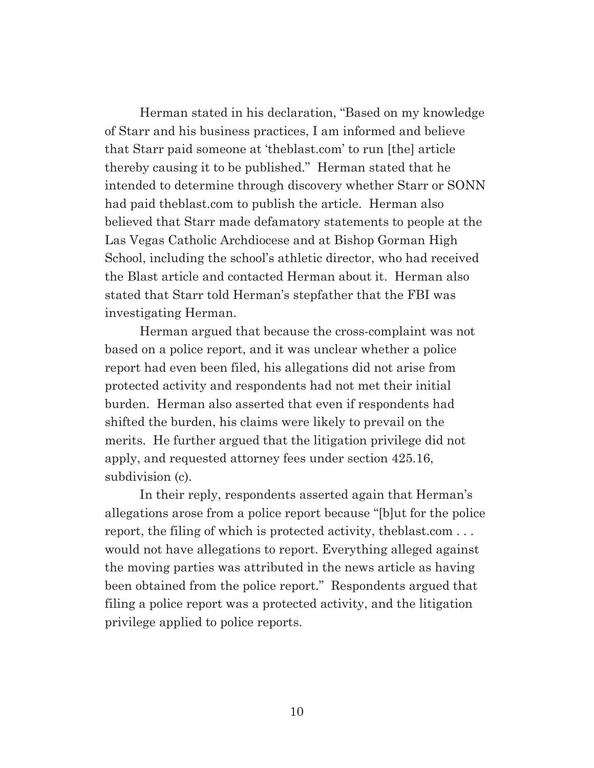Herman stated in his declaration, "Based on my knowledge of Starr and his business practices, I am informed and believe that Starr paid someone at 'theblast.com' to run [the] article thereby causing it to be published." Herman stated that he intended to determine through discovery whether Starr or SONN had paid theblast.com to publish the article. Herman also believed that Starr made defamatory statements to people at the Las Vegas Catholic Archdiocese and at Bishop Gorman High School, including the school's athletic director, who had received the Blast article and contacted Herman about it. Herman also stated that Starr told Herman's stepfather that the FBI was investigating Herman.

Herman argued that because the cross-complaint was not based on a police report, and it was unclear whether a police report had even been filed, his allegations did not arise from protected activity and respondents had not met their initial burden. Herman also asserted that even if respondents had shifted the burden, his claims were likely to prevail on the merits. He further argued that the litigation privilege did not apply, and requested attorney fees under section 425.16, subdivision (c).

In their reply, respondents asserted again that Herman's allegations arose from a police report because "[b]ut for the police report, the filing of which is protected activity, theblast.com . . . would not have allegations to report. Everything alleged against the moving parties was attributed in the news article as having been obtained from the police report." Respondents argued that filing a police report was a protected activity, and the litigation privilege applied to police reports.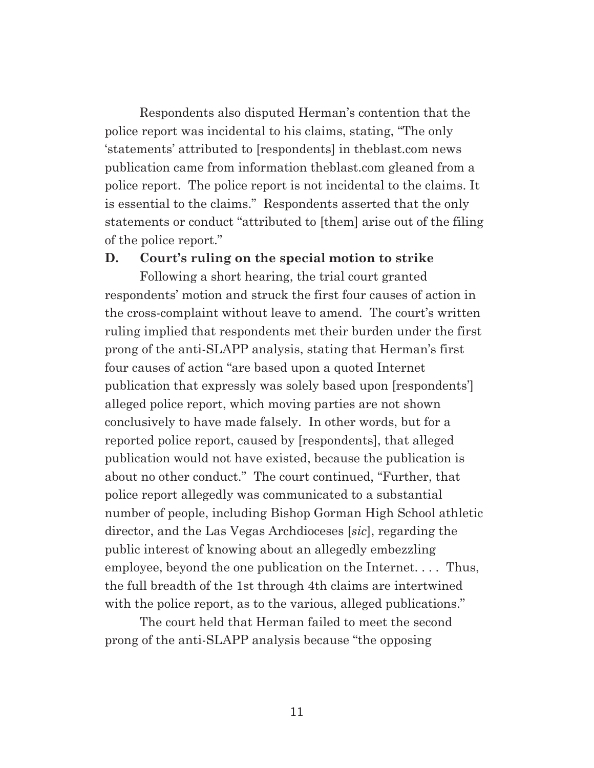Respondents also disputed Herman's contention that the police report was incidental to his claims, stating, "The only 'statements' attributed to [respondents] in theblast.com news publication came from information theblast.com gleaned from a police report. The police report is not incidental to the claims. It is essential to the claims." Respondents asserted that the only statements or conduct "attributed to [them] arise out of the filing of the police report."

#### **D. Court's ruling on the special motion to strike**

Following a short hearing, the trial court granted respondents' motion and struck the first four causes of action in the cross-complaint without leave to amend. The court's written ruling implied that respondents met their burden under the first prong of the anti-SLAPP analysis, stating that Herman's first four causes of action "are based upon a quoted Internet publication that expressly was solely based upon [respondents'] alleged police report, which moving parties are not shown conclusively to have made falsely. In other words, but for a reported police report, caused by [respondents], that alleged publication would not have existed, because the publication is about no other conduct." The court continued, "Further, that police report allegedly was communicated to a substantial number of people, including Bishop Gorman High School athletic director, and the Las Vegas Archdioceses [*sic*], regarding the public interest of knowing about an allegedly embezzling employee, beyond the one publication on the Internet. . . . Thus, the full breadth of the 1st through 4th claims are intertwined with the police report, as to the various, alleged publications."

The court held that Herman failed to meet the second prong of the anti-SLAPP analysis because "the opposing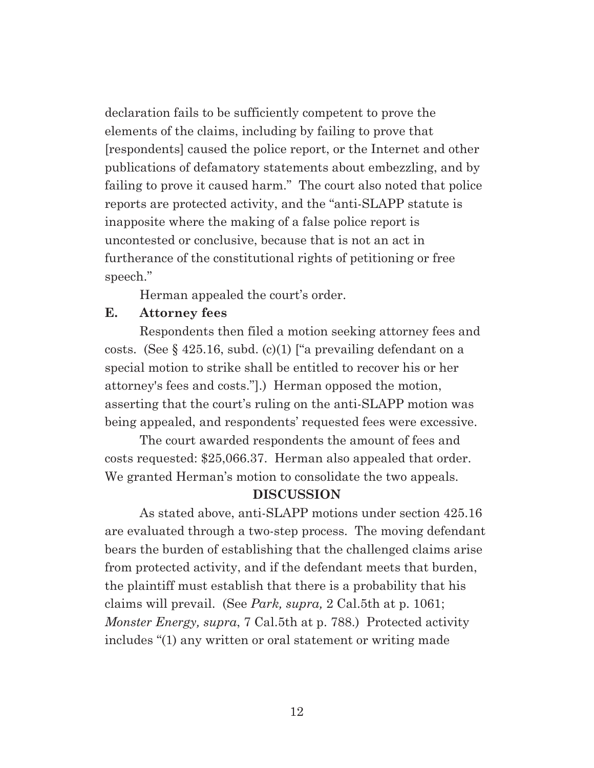declaration fails to be sufficiently competent to prove the elements of the claims, including by failing to prove that [respondents] caused the police report, or the Internet and other publications of defamatory statements about embezzling, and by failing to prove it caused harm." The court also noted that police reports are protected activity, and the "anti-SLAPP statute is inapposite where the making of a false police report is uncontested or conclusive, because that is not an act in furtherance of the constitutional rights of petitioning or free speech."

Herman appealed the court's order.

## **E. Attorney fees**

Respondents then filed a motion seeking attorney fees and costs. (See  $\S$  425.16, subd. (c)(1) ["a prevailing defendant on a special motion to strike shall be entitled to recover his or her attorney's fees and costs."].) Herman opposed the motion, asserting that the court's ruling on the anti-SLAPP motion was being appealed, and respondents' requested fees were excessive.

The court awarded respondents the amount of fees and costs requested: \$25,066.37. Herman also appealed that order. We granted Herman's motion to consolidate the two appeals.

## **DISCUSSION**

As stated above, anti-SLAPP motions under section 425.16 are evaluated through a two-step process. The moving defendant bears the burden of establishing that the challenged claims arise from protected activity, and if the defendant meets that burden, the plaintiff must establish that there is a probability that his claims will prevail. (See *Park, supra,* 2 Cal.5th at p. 1061; *Monster Energy, supra*, 7 Cal.5th at p. 788.) Protected activity includes "(1) any written or oral statement or writing made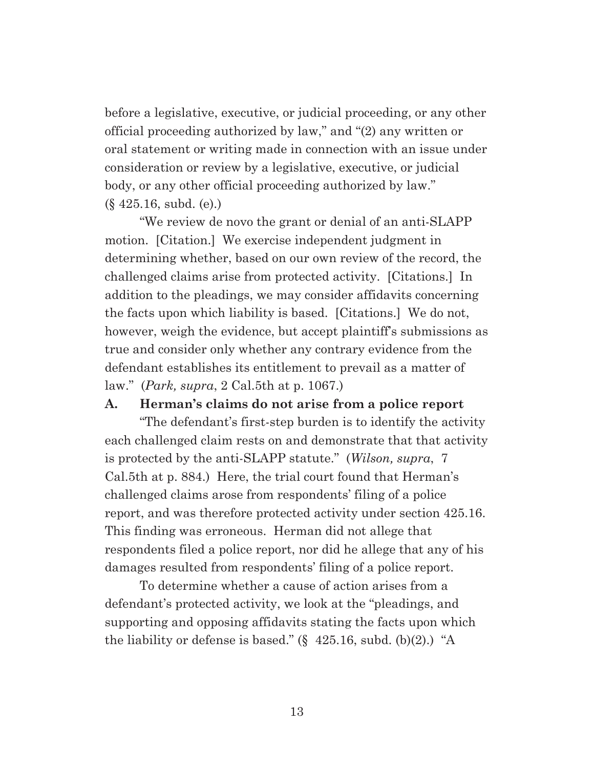before a legislative, executive, or judicial proceeding, or any other official proceeding authorized by law," and "(2) any written or oral statement or writing made in connection with an issue under consideration or review by a legislative, executive, or judicial body, or any other official proceeding authorized by law." (§ 425.16, subd. (e).)

"We review de novo the grant or denial of an anti-SLAPP motion. [Citation.] We exercise independent judgment in determining whether, based on our own review of the record, the challenged claims arise from protected activity. [Citations.] In addition to the pleadings, we may consider affidavits concerning the facts upon which liability is based. [Citations.] We do not, however, weigh the evidence, but accept plaintiff's submissions as true and consider only whether any contrary evidence from the defendant establishes its entitlement to prevail as a matter of law." (*Park, supra*, 2 Cal.5th at p. 1067.)

#### **A. Herman's claims do not arise from a police report**

"The defendant's first-step burden is to identify the activity each challenged claim rests on and demonstrate that that activity is protected by the anti-SLAPP statute." (*Wilson, supra*, 7 Cal.5th at p. 884.) Here, the trial court found that Herman's challenged claims arose from respondents' filing of a police report, and was therefore protected activity under section 425.16. This finding was erroneous. Herman did not allege that respondents filed a police report, nor did he allege that any of his damages resulted from respondents' filing of a police report.

To determine whether a cause of action arises from a defendant's protected activity, we look at the "pleadings, and supporting and opposing affidavits stating the facts upon which the liability or defense is based." (§ 425.16, subd. (b)(2).) "A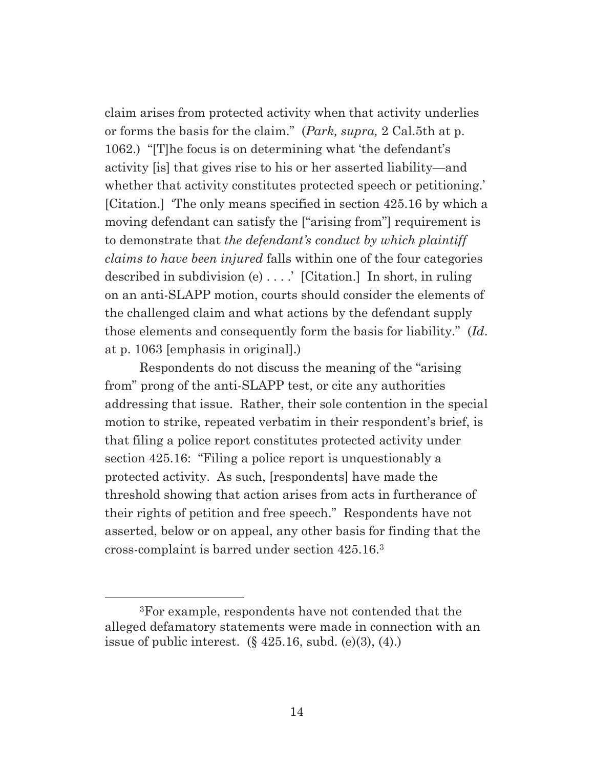claim arises from protected activity when that activity underlies or forms the basis for the claim." (*Park, supra,* 2 Cal.5th at p. 1062.) "[T]he focus is on determining what 'the defendant's activity [is] that gives rise to his or her asserted liability—and whether that activity constitutes protected speech or petitioning. [Citation.] 'The only means specified in section 425.16 by which a moving defendant can satisfy the ["arising from"] requirement is to demonstrate that *the defendant's conduct by which plaintiff claims to have been injured* falls within one of the four categories described in subdivision (e) . . . .' [Citation.] In short, in ruling on an anti-SLAPP motion, courts should consider the elements of the challenged claim and what actions by the defendant supply those elements and consequently form the basis for liability." (*Id*. at p. 1063 [emphasis in original].)

Respondents do not discuss the meaning of the "arising from" prong of the anti-SLAPP test, or cite any authorities addressing that issue. Rather, their sole contention in the special motion to strike, repeated verbatim in their respondent's brief, is that filing a police report constitutes protected activity under section 425.16: "Filing a police report is unquestionably a protected activity. As such, [respondents] have made the threshold showing that action arises from acts in furtherance of their rights of petition and free speech." Respondents have not asserted, below or on appeal, any other basis for finding that the cross-complaint is barred under section 425.16.3

<sup>3</sup>For example, respondents have not contended that the alleged defamatory statements were made in connection with an issue of public interest.  $(\S 425.16, \text{subd.}(\e)(3), (4))$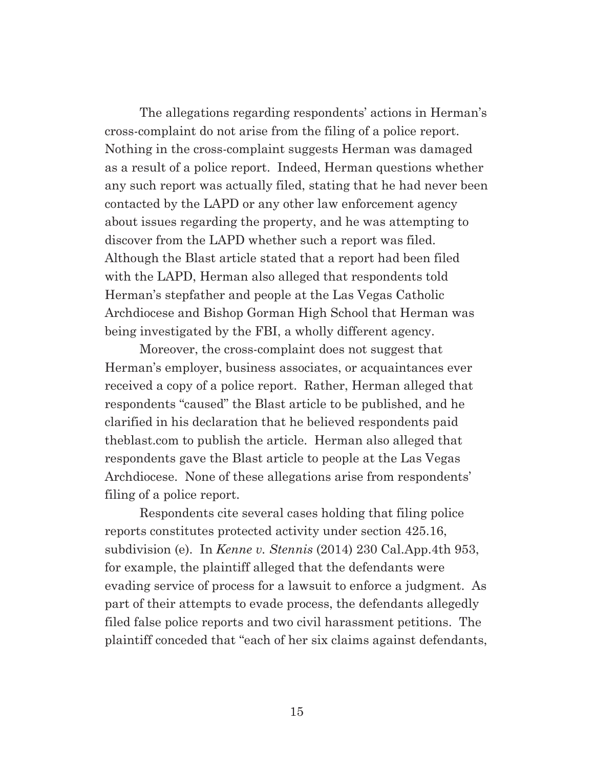The allegations regarding respondents' actions in Herman's cross-complaint do not arise from the filing of a police report. Nothing in the cross-complaint suggests Herman was damaged as a result of a police report. Indeed, Herman questions whether any such report was actually filed, stating that he had never been contacted by the LAPD or any other law enforcement agency about issues regarding the property, and he was attempting to discover from the LAPD whether such a report was filed. Although the Blast article stated that a report had been filed with the LAPD, Herman also alleged that respondents told Herman's stepfather and people at the Las Vegas Catholic Archdiocese and Bishop Gorman High School that Herman was being investigated by the FBI, a wholly different agency.

Moreover, the cross-complaint does not suggest that Herman's employer, business associates, or acquaintances ever received a copy of a police report. Rather, Herman alleged that respondents "caused" the Blast article to be published, and he clarified in his declaration that he believed respondents paid theblast.com to publish the article. Herman also alleged that respondents gave the Blast article to people at the Las Vegas Archdiocese. None of these allegations arise from respondents' filing of a police report.

Respondents cite several cases holding that filing police reports constitutes protected activity under section 425.16, subdivision (e). In *Kenne v. Stennis* (2014) 230 Cal.App.4th 953, for example, the plaintiff alleged that the defendants were evading service of process for a lawsuit to enforce a judgment. As part of their attempts to evade process, the defendants allegedly filed false police reports and two civil harassment petitions. The plaintiff conceded that "each of her six claims against defendants,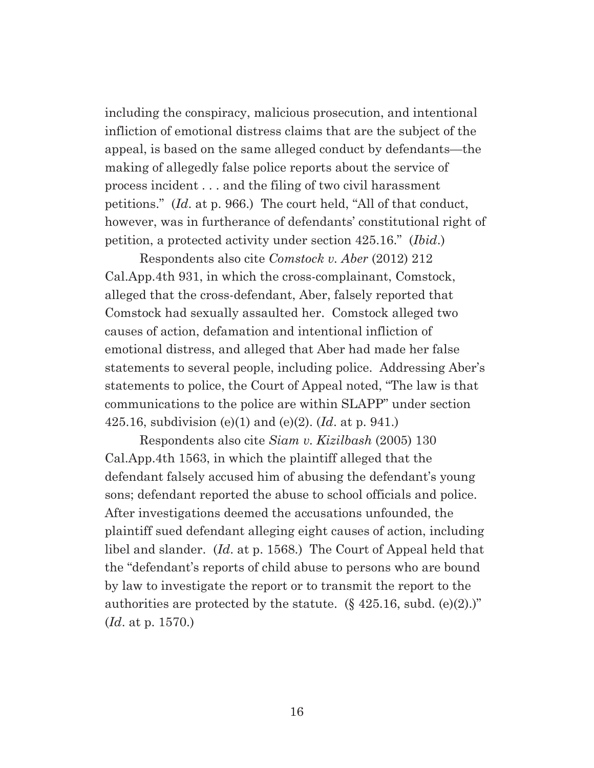including the conspiracy, malicious prosecution, and intentional infliction of emotional distress claims that are the subject of the appeal, is based on the same alleged conduct by defendants—the making of allegedly false police reports about the service of process incident . . . and the filing of two civil harassment petitions." (*Id*. at p. 966.) The court held, "All of that conduct, however, was in furtherance of defendants' constitutional right of petition, a protected activity under section 425.16." (*Ibid*.)

Respondents also cite *Comstock v. Aber* (2012) 212 Cal.App.4th 931, in which the cross-complainant, Comstock, alleged that the cross-defendant, Aber, falsely reported that Comstock had sexually assaulted her. Comstock alleged two causes of action, defamation and intentional infliction of emotional distress, and alleged that Aber had made her false statements to several people, including police. Addressing Aber's statements to police, the Court of Appeal noted, "The law is that communications to the police are within SLAPP" under section 425.16, subdivision (e)(1) and (e)(2). (*Id*. at p. 941.)

Respondents also cite *Siam v. Kizilbash* (2005) 130 Cal.App.4th 1563, in which the plaintiff alleged that the defendant falsely accused him of abusing the defendant's young sons; defendant reported the abuse to school officials and police. After investigations deemed the accusations unfounded, the plaintiff sued defendant alleging eight causes of action, including libel and slander. (*Id*. at p. 1568.) The Court of Appeal held that the "defendant's reports of child abuse to persons who are bound by law to investigate the report or to transmit the report to the authorities are protected by the statute.  $(\S$  425.16, subd. (e)(2).)" (*Id*. at p. 1570.)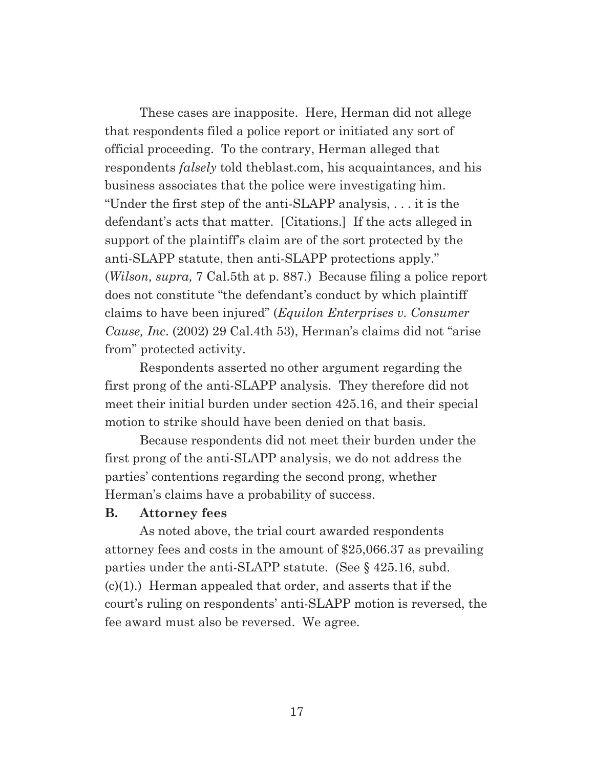These cases are inapposite. Here, Herman did not allege that respondents filed a police report or initiated any sort of official proceeding. To the contrary, Herman alleged that respondents *falsely* told theblast.com, his acquaintances, and his business associates that the police were investigating him. "Under the first step of the anti-SLAPP analysis, . . . it is the defendant's acts that matter. [Citations.] If the acts alleged in support of the plaintiff's claim are of the sort protected by the anti-SLAPP statute, then anti-SLAPP protections apply." (*Wilson, supra,* 7 Cal.5th at p. 887.) Because filing a police report does not constitute "the defendant's conduct by which plaintiff claims to have been injured" (*Equilon Enterprises v. Consumer Cause, Inc*. (2002) 29 Cal.4th 53), Herman's claims did not "arise from" protected activity.

Respondents asserted no other argument regarding the first prong of the anti-SLAPP analysis. They therefore did not meet their initial burden under section 425.16, and their special motion to strike should have been denied on that basis.

Because respondents did not meet their burden under the first prong of the anti-SLAPP analysis, we do not address the parties' contentions regarding the second prong, whether Herman's claims have a probability of success.

### **B. Attorney fees**

As noted above, the trial court awarded respondents attorney fees and costs in the amount of \$25,066.37 as prevailing parties under the anti-SLAPP statute. (See § 425.16, subd.  $(c)(1)$ .) Herman appealed that order, and asserts that if the court's ruling on respondents' anti-SLAPP motion is reversed, the fee award must also be reversed. We agree.